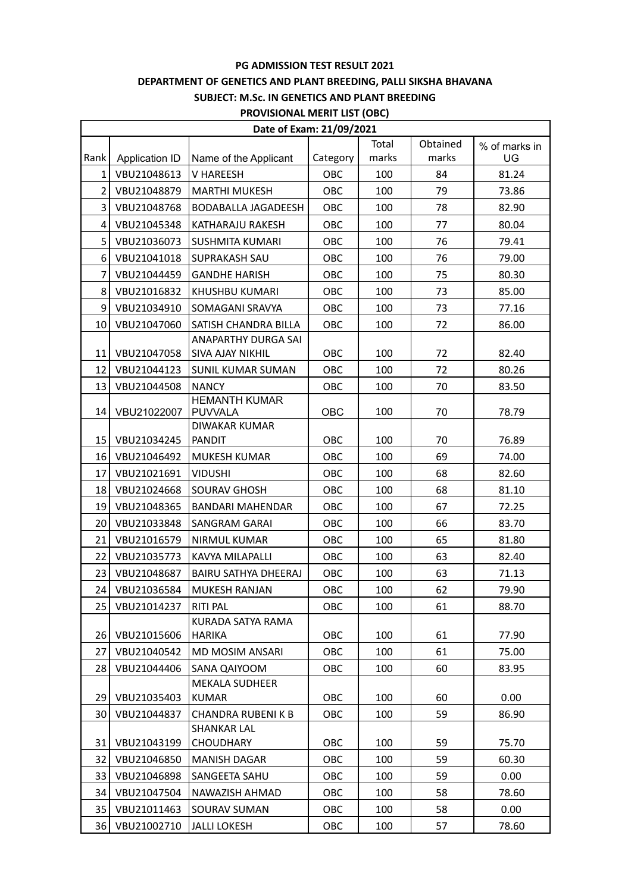#### **PG ADMISSION TEST RESULT 2021**

### **DEPARTMENT OF GENETICS AND PLANT BREEDING, PALLI SIKSHA BHAVANA**

## **SUBJECT: M.Sc. IN GENETICS AND PLANT BREEDING**

| <b>PROVISIONAL MERIT LIST (OBC)</b> |  |
|-------------------------------------|--|
|                                     |  |

| Date of Exam: 21/09/2021 |                |                                                |          |       |          |               |
|--------------------------|----------------|------------------------------------------------|----------|-------|----------|---------------|
|                          |                |                                                |          | Total | Obtained | % of marks in |
| Rank                     | Application ID | Name of the Applicant                          | Category | marks | marks    | UG            |
| 1 <sup>1</sup>           | VBU21048613    | V HAREESH                                      | OBC      | 100   | 84       | 81.24         |
| 2 <sup>1</sup>           | VBU21048879    | <b>MARTHI MUKESH</b>                           | OBC      | 100   | 79       | 73.86         |
| 3 <sup>1</sup>           | VBU21048768    | <b>BODABALLA JAGADEESH</b>                     | OBC      | 100   | 78       | 82.90         |
| $\vert$                  | VBU21045348    | KATHARAJU RAKESH                               | OBC      | 100   | 77       | 80.04         |
| 5 <sup>1</sup>           | VBU21036073    | <b>SUSHMITA KUMARI</b>                         | OBC      | 100   | 76       | 79.41         |
| 6                        | VBU21041018    | <b>SUPRAKASH SAU</b>                           | OBC      | 100   | 76       | 79.00         |
| $\overline{7}$           | VBU21044459    | <b>GANDHE HARISH</b>                           | OBC      | 100   | 75       | 80.30         |
| 8                        | VBU21016832    | <b>KHUSHBU KUMARI</b>                          | OBC      | 100   | 73       | 85.00         |
| 9                        | VBU21034910    | SOMAGANI SRAVYA                                | OBC      | 100   | 73       | 77.16         |
| 10 <sup>1</sup>          | VBU21047060    | SATISH CHANDRA BILLA                           | OBC      | 100   | 72       | 86.00         |
| 11                       | VBU21047058    | ANAPARTHY DURGA SAI<br><b>SIVA AJAY NIKHIL</b> | OBC      | 100   | 72       | 82.40         |
| 12                       | VBU21044123    |                                                | OBC      | 100   | 72       |               |
|                          |                | <b>SUNIL KUMAR SUMAN</b>                       |          |       |          | 80.26         |
| 13                       | VBU21044508    | <b>NANCY</b><br><b>HEMANTH KUMAR</b>           | OBC      | 100   | 70       | 83.50         |
| 14                       | VBU21022007    | <b>PUVVALA</b>                                 | OBC      | 100   | 70       | 78.79         |
|                          |                | DIWAKAR KUMAR                                  |          |       |          |               |
| 15 <sub>1</sub>          | VBU21034245    | <b>PANDIT</b>                                  | OBC      | 100   | 70       | 76.89         |
| 16 <sup>1</sup>          | VBU21046492    | <b>MUKESH KUMAR</b>                            | OBC      | 100   | 69       | 74.00         |
| 17                       | VBU21021691    | <b>VIDUSHI</b>                                 | OBC      | 100   | 68       | 82.60         |
| 18 <sup>1</sup>          | VBU21024668    | <b>SOURAV GHOSH</b>                            | OBC      | 100   | 68       | 81.10         |
| 19                       | VBU21048365    | <b>BANDARI MAHENDAR</b>                        | OBC      | 100   | 67       | 72.25         |
| 20                       | VBU21033848    | <b>SANGRAM GARAI</b>                           | OBC      | 100   | 66       | 83.70         |
| 21                       | VBU21016579    | <b>NIRMUL KUMAR</b>                            | OBC      | 100   | 65       | 81.80         |
| 22                       | VBU21035773    | <b>KAVYA MILAPALLI</b>                         | OBC      | 100   | 63       | 82.40         |
| 23                       | VBU21048687    | BAIRU SATHYA DHEERAJ                           | OBC      | 100   | 63       | 71.13         |
| 24                       | VBU21036584    | MUKESH RANJAN                                  | OBC      | 100   | 62       | 79.90         |
| 25 <sub>1</sub>          | VBU21014237    | <b>RITI PAL</b>                                | OBC      | 100   | 61       | 88.70         |
| 26                       | VBU21015606    | KURADA SATYA RAMA<br>HARIKA                    | OBC      | 100   | 61       | 77.90         |
| 27                       | VBU21040542    | MD MOSIM ANSARI                                | OBC      | 100   | 61       | 75.00         |
| 28                       | VBU21044406    | SANA QAIYOOM                                   | OBC      | 100   | 60       | 83.95         |
|                          |                | <b>MEKALA SUDHEER</b>                          |          |       |          |               |
| 29 l                     | VBU21035403    | <b>KUMAR</b>                                   | OBC      | 100   | 60       | 0.00          |
| 30 <sup>1</sup>          | VBU21044837    | <b>CHANDRA RUBENIK B</b>                       | OBC      | 100   | 59       | 86.90         |
| 31                       | VBU21043199    | <b>SHANKAR LAL</b><br><b>CHOUDHARY</b>         | OBC      | 100   | 59       | 75.70         |
| 32                       | VBU21046850    | <b>MANISH DAGAR</b>                            | OBC      | 100   | 59       | 60.30         |
| 33                       | VBU21046898    | SANGEETA SAHU                                  | OBC      | 100   | 59       | 0.00          |
| 34                       | VBU21047504    | NAWAZISH AHMAD                                 | OBC      | 100   | 58       | 78.60         |
| 35                       | VBU21011463    | SOURAV SUMAN                                   | OBC      | 100   | 58       | 0.00          |
| 36                       | VBU21002710    | <b>JALLI LOKESH</b>                            | OBC      | 100   | 57       | 78.60         |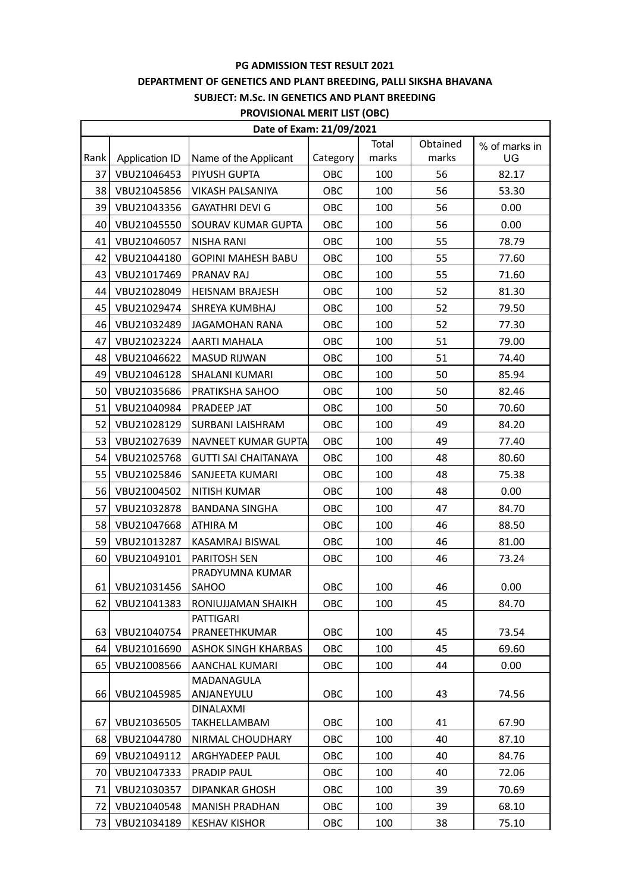#### **PG ADMISSION TEST RESULT 2021**

### **DEPARTMENT OF GENETICS AND PLANT BREEDING, PALLI SIKSHA BHAVANA**

## **SUBJECT: M.Sc. IN GENETICS AND PLANT BREEDING**

## **PROVISIONAL MERIT LIST (OBC)**

| Total<br>Obtained<br>marks<br>marks<br>Rank  <br>Category<br>Application ID<br>Name of the Applicant<br>UG<br>37<br>OBC<br>VBU21046453<br>PIYUSH GUPTA<br>100<br>56<br>82.17<br>56<br>38<br>VBU21045856<br><b>VIKASH PALSANIYA</b><br>OBC<br>100<br>53.30<br>39<br>56<br>VBU21043356<br><b>GAYATHRI DEVI G</b><br>OBC<br>100<br>0.00<br>56<br>40<br>VBU21045550<br>SOURAV KUMAR GUPTA<br>OBC<br>100<br>0.00<br>VBU21046057<br><b>NISHA RANI</b><br>OBC<br>55<br>41<br>100<br>78.79<br>42<br>VBU21044180<br><b>GOPINI MAHESH BABU</b><br>OBC<br>100<br>55<br>77.60<br>43  <br>VBU21017469<br>PRANAV RAJ<br>OBC<br>100<br>55<br>71.60<br>52<br>VBU21028049<br>OBC<br>100<br>81.30<br>44<br><b>HEISNAM BRAJESH</b> | Date of Exam: 21/09/2021 |  |  |  |  |  |               |
|-----------------------------------------------------------------------------------------------------------------------------------------------------------------------------------------------------------------------------------------------------------------------------------------------------------------------------------------------------------------------------------------------------------------------------------------------------------------------------------------------------------------------------------------------------------------------------------------------------------------------------------------------------------------------------------------------------------------|--------------------------|--|--|--|--|--|---------------|
|                                                                                                                                                                                                                                                                                                                                                                                                                                                                                                                                                                                                                                                                                                                 |                          |  |  |  |  |  | % of marks in |
|                                                                                                                                                                                                                                                                                                                                                                                                                                                                                                                                                                                                                                                                                                                 |                          |  |  |  |  |  |               |
|                                                                                                                                                                                                                                                                                                                                                                                                                                                                                                                                                                                                                                                                                                                 |                          |  |  |  |  |  |               |
|                                                                                                                                                                                                                                                                                                                                                                                                                                                                                                                                                                                                                                                                                                                 |                          |  |  |  |  |  |               |
|                                                                                                                                                                                                                                                                                                                                                                                                                                                                                                                                                                                                                                                                                                                 |                          |  |  |  |  |  |               |
|                                                                                                                                                                                                                                                                                                                                                                                                                                                                                                                                                                                                                                                                                                                 |                          |  |  |  |  |  |               |
|                                                                                                                                                                                                                                                                                                                                                                                                                                                                                                                                                                                                                                                                                                                 |                          |  |  |  |  |  |               |
|                                                                                                                                                                                                                                                                                                                                                                                                                                                                                                                                                                                                                                                                                                                 |                          |  |  |  |  |  |               |
|                                                                                                                                                                                                                                                                                                                                                                                                                                                                                                                                                                                                                                                                                                                 |                          |  |  |  |  |  |               |
|                                                                                                                                                                                                                                                                                                                                                                                                                                                                                                                                                                                                                                                                                                                 |                          |  |  |  |  |  |               |
| 45<br>VBU21029474<br>SHREYA KUMBHAJ<br>OBC<br>100<br>52<br>79.50                                                                                                                                                                                                                                                                                                                                                                                                                                                                                                                                                                                                                                                |                          |  |  |  |  |  |               |
| 52<br>46<br>VBU21032489<br>JAGAMOHAN RANA<br>OBC<br>100<br>77.30                                                                                                                                                                                                                                                                                                                                                                                                                                                                                                                                                                                                                                                |                          |  |  |  |  |  |               |
| 47<br>VBU21023224<br>51<br>AARTI MAHALA<br>OBC<br>100<br>79.00                                                                                                                                                                                                                                                                                                                                                                                                                                                                                                                                                                                                                                                  |                          |  |  |  |  |  |               |
| 51<br>48<br>VBU21046622<br><b>MASUD RIJWAN</b><br>OBC<br>100<br>74.40                                                                                                                                                                                                                                                                                                                                                                                                                                                                                                                                                                                                                                           |                          |  |  |  |  |  |               |
| VBU21046128<br>OBC<br>100<br>50<br>85.94<br>49<br><b>SHALANI KUMARI</b>                                                                                                                                                                                                                                                                                                                                                                                                                                                                                                                                                                                                                                         |                          |  |  |  |  |  |               |
| 50<br>50 <sub>1</sub><br>VBU21035686<br>PRATIKSHA SAHOO<br>OBC<br>100<br>82.46                                                                                                                                                                                                                                                                                                                                                                                                                                                                                                                                                                                                                                  |                          |  |  |  |  |  |               |
| 51<br>VBU21040984<br>PRADEEP JAT<br>OBC<br>100<br>50<br>70.60                                                                                                                                                                                                                                                                                                                                                                                                                                                                                                                                                                                                                                                   |                          |  |  |  |  |  |               |
| 49<br>52<br>VBU21028129<br>OBC<br>100<br>84.20<br>SURBANI LAISHRAM                                                                                                                                                                                                                                                                                                                                                                                                                                                                                                                                                                                                                                              |                          |  |  |  |  |  |               |
| 49<br>53<br>VBU21027639<br>NAVNEET KUMAR GUPTA<br>OBC<br>100<br>77.40                                                                                                                                                                                                                                                                                                                                                                                                                                                                                                                                                                                                                                           |                          |  |  |  |  |  |               |
| 48<br>54<br>VBU21025768<br>OBC<br>100<br>80.60<br><b>GUTTI SAI CHAITANAYA</b>                                                                                                                                                                                                                                                                                                                                                                                                                                                                                                                                                                                                                                   |                          |  |  |  |  |  |               |
| 55<br>VBU21025846<br>100<br>48<br>SANJEETA KUMARI<br>OBC<br>75.38                                                                                                                                                                                                                                                                                                                                                                                                                                                                                                                                                                                                                                               |                          |  |  |  |  |  |               |
| 56<br>48<br>0.00<br>VBU21004502<br><b>NITISH KUMAR</b><br>OBC<br>100                                                                                                                                                                                                                                                                                                                                                                                                                                                                                                                                                                                                                                            |                          |  |  |  |  |  |               |
| OBC<br>100<br>47<br>84.70<br>57<br>VBU21032878<br><b>BANDANA SINGHA</b>                                                                                                                                                                                                                                                                                                                                                                                                                                                                                                                                                                                                                                         |                          |  |  |  |  |  |               |
| 58<br>VBU21047668<br>OBC<br>100<br>46<br>88.50<br>ATHIRA M                                                                                                                                                                                                                                                                                                                                                                                                                                                                                                                                                                                                                                                      |                          |  |  |  |  |  |               |
| 59<br>46<br>VBU21013287<br>KASAMRAJ BISWAL<br>OBC<br>100<br>81.00                                                                                                                                                                                                                                                                                                                                                                                                                                                                                                                                                                                                                                               |                          |  |  |  |  |  |               |
| 60<br>VBU21049101<br>PARITOSH SEN<br>OBC<br>100<br>46<br>73.24                                                                                                                                                                                                                                                                                                                                                                                                                                                                                                                                                                                                                                                  |                          |  |  |  |  |  |               |
| PRADYUMNA KUMAR                                                                                                                                                                                                                                                                                                                                                                                                                                                                                                                                                                                                                                                                                                 |                          |  |  |  |  |  |               |
| 61<br>46<br>VBU21031456<br>SAHOO<br>OBC<br>100<br>0.00                                                                                                                                                                                                                                                                                                                                                                                                                                                                                                                                                                                                                                                          |                          |  |  |  |  |  |               |
| OBC<br>62 <br>VBU21041383<br>RONIUJJAMAN SHAIKH<br>100<br>45<br>84.70                                                                                                                                                                                                                                                                                                                                                                                                                                                                                                                                                                                                                                           |                          |  |  |  |  |  |               |
| <b>PATTIGARI</b>                                                                                                                                                                                                                                                                                                                                                                                                                                                                                                                                                                                                                                                                                                |                          |  |  |  |  |  |               |
| 63<br>45<br>VBU21040754<br>PRANEETHKUMAR<br>OBC<br>100<br>73.54                                                                                                                                                                                                                                                                                                                                                                                                                                                                                                                                                                                                                                                 |                          |  |  |  |  |  |               |
| 64<br>OBC<br>100<br>45<br>69.60<br>VBU21016690<br><b>ASHOK SINGH KHARBAS</b>                                                                                                                                                                                                                                                                                                                                                                                                                                                                                                                                                                                                                                    |                          |  |  |  |  |  |               |
| 65<br>VBU21008566<br>OBC<br>44<br>0.00<br><b>AANCHAL KUMARI</b><br>100                                                                                                                                                                                                                                                                                                                                                                                                                                                                                                                                                                                                                                          |                          |  |  |  |  |  |               |
| MADANAGULA                                                                                                                                                                                                                                                                                                                                                                                                                                                                                                                                                                                                                                                                                                      |                          |  |  |  |  |  |               |
| 66<br>VBU21045985<br>43<br>ANJANEYULU<br>OBC<br>100<br>74.56<br><b>DINALAXMI</b>                                                                                                                                                                                                                                                                                                                                                                                                                                                                                                                                                                                                                                |                          |  |  |  |  |  |               |
| 67<br>VBU21036505<br>TAKHELLAMBAM<br>OBC<br>100<br>41<br>67.90                                                                                                                                                                                                                                                                                                                                                                                                                                                                                                                                                                                                                                                  |                          |  |  |  |  |  |               |
| 68<br>OBC<br>40<br>VBU21044780<br>NIRMAL CHOUDHARY<br>100<br>87.10                                                                                                                                                                                                                                                                                                                                                                                                                                                                                                                                                                                                                                              |                          |  |  |  |  |  |               |
| 69<br>VBU21049112<br>OBC<br>100<br>40<br>84.76<br>ARGHYADEEP PAUL                                                                                                                                                                                                                                                                                                                                                                                                                                                                                                                                                                                                                                               |                          |  |  |  |  |  |               |
| OBC<br>70<br>VBU21047333<br><b>PRADIP PAUL</b><br>100<br>40<br>72.06                                                                                                                                                                                                                                                                                                                                                                                                                                                                                                                                                                                                                                            |                          |  |  |  |  |  |               |
| 39<br>71<br>VBU21030357<br><b>DIPANKAR GHOSH</b><br>OBC<br>100<br>70.69                                                                                                                                                                                                                                                                                                                                                                                                                                                                                                                                                                                                                                         |                          |  |  |  |  |  |               |
| 39<br>72<br>VBU21040548<br><b>MANISH PRADHAN</b><br>OBC<br>100<br>68.10                                                                                                                                                                                                                                                                                                                                                                                                                                                                                                                                                                                                                                         |                          |  |  |  |  |  |               |
| OBC<br>100<br>38<br>75.10<br>73<br>VBU21034189<br><b>KESHAV KISHOR</b>                                                                                                                                                                                                                                                                                                                                                                                                                                                                                                                                                                                                                                          |                          |  |  |  |  |  |               |